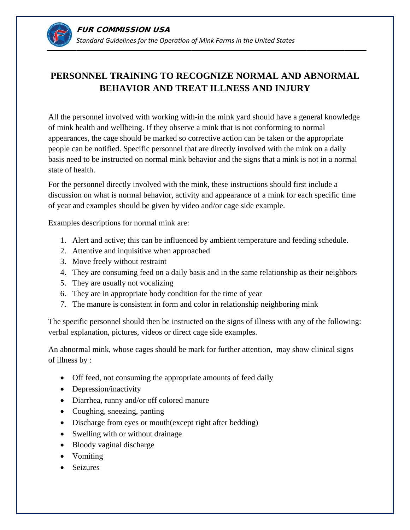

## PERSONNEL TRAINING TO RECOGNIZE NORMAL AND ABNORMAL **BEHAVIOR AND TREAT ILLNESS AND INJURY**

All the personnel involved with working with-in the mink yard should have a general knowledge of mink health and wellbeing. If they observe a mink that is not conforming to normal appearances, the cage should be marked so corrective action can be taken or the appropriate people can be notified. Specific personnel that are directly involved with the mink on a daily basis need to be instructed on normal mink behavior and the signs that a mink is not in a normal state of health.

For the personnel directly involved with the mink, these instructions should first include a discussion on what is normal behavior, activity and appearance of a mink for each specific time of year and examples should be given by video and/or cage side example.

Examples descriptions for normal mink are:

- 1. Alert and active; this can be influenced by ambient temperature and feeding schedule.
- 2. Attentive and inquisitive when approached
- 3. Move freely without restraint
- 4. They are consuming feed on a daily basis and in the same relationship as their neighbors
- 5. They are usually not vocalizing
- 6. They are in appropriate body condition for the time of year
- 7. The manure is consistent in form and color in relationship neighboring mink

The specific personnel should then be instructed on the signs of illness with any of the following: verbal explanation, pictures, videos or direct cage side examples.

An abnormal mink, whose cages should be mark for further attention, may show clinical signs of illness by:

- Off feed, not consuming the appropriate amounts of feed daily
- Depression/inactivity
- Diarrhea, runny and/or off colored manure
- Coughing, sneezing, panting
- Discharge from eyes or mouth(except right after bedding)
- Swelling with or without drainage
- Bloody vaginal discharge
- Vomiting
- Seizures